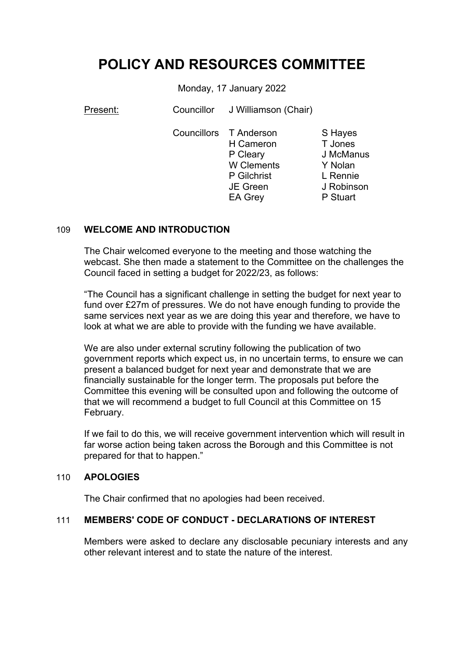# **POLICY AND RESOURCES COMMITTEE**

Monday, 17 January 2022

Present: Councillor J Williamson (Chair) Councillors T Anderson

H Cameron P Cleary W Clements P Gilchrist JE Green EA Grey

S Hayes T Jones J McManus Y Nolan L Rennie J Robinson P Stuart

# 109 **WELCOME AND INTRODUCTION**

The Chair welcomed everyone to the meeting and those watching the webcast. She then made a statement to the Committee on the challenges the Council faced in setting a budget for 2022/23, as follows:

"The Council has a significant challenge in setting the budget for next year to fund over £27m of pressures. We do not have enough funding to provide the same services next year as we are doing this year and therefore, we have to look at what we are able to provide with the funding we have available.

We are also under external scrutiny following the publication of two government reports which expect us, in no uncertain terms, to ensure we can present a balanced budget for next year and demonstrate that we are financially sustainable for the longer term. The proposals put before the Committee this evening will be consulted upon and following the outcome of that we will recommend a budget to full Council at this Committee on 15 February.

If we fail to do this, we will receive government intervention which will result in far worse action being taken across the Borough and this Committee is not prepared for that to happen."

# 110 **APOLOGIES**

The Chair confirmed that no apologies had been received.

# 111 **MEMBERS' CODE OF CONDUCT - DECLARATIONS OF INTEREST**

Members were asked to declare any disclosable pecuniary interests and any other relevant interest and to state the nature of the interest.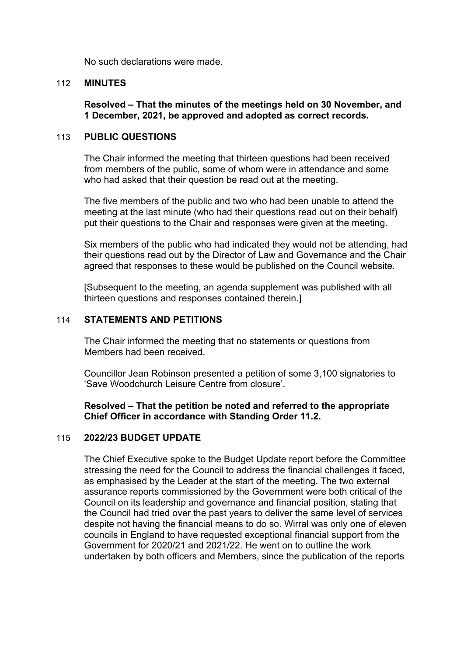No such declarations were made.

## 112 **MINUTES**

**Resolved – That the minutes of the meetings held on 30 November, and 1 December, 2021, be approved and adopted as correct records.**

### 113 **PUBLIC QUESTIONS**

The Chair informed the meeting that thirteen questions had been received from members of the public, some of whom were in attendance and some who had asked that their question be read out at the meeting.

The five members of the public and two who had been unable to attend the meeting at the last minute (who had their questions read out on their behalf) put their questions to the Chair and responses were given at the meeting.

Six members of the public who had indicated they would not be attending, had their questions read out by the Director of Law and Governance and the Chair agreed that responses to these would be published on the Council website.

[Subsequent to the meeting, an agenda supplement was published with all thirteen questions and responses contained therein.]

## 114 **STATEMENTS AND PETITIONS**

The Chair informed the meeting that no statements or questions from Members had been received.

Councillor Jean Robinson presented a petition of some 3,100 signatories to 'Save Woodchurch Leisure Centre from closure'.

**Resolved – That the petition be noted and referred to the appropriate Chief Officer in accordance with Standing Order 11.2.**

#### 115 **2022/23 BUDGET UPDATE**

The Chief Executive spoke to the Budget Update report before the Committee stressing the need for the Council to address the financial challenges it faced, as emphasised by the Leader at the start of the meeting. The two external assurance reports commissioned by the Government were both critical of the Council on its leadership and governance and financial position, stating that the Council had tried over the past years to deliver the same level of services despite not having the financial means to do so. Wirral was only one of eleven councils in England to have requested exceptional financial support from the Government for 2020/21 and 2021/22. He went on to outline the work undertaken by both officers and Members, since the publication of the reports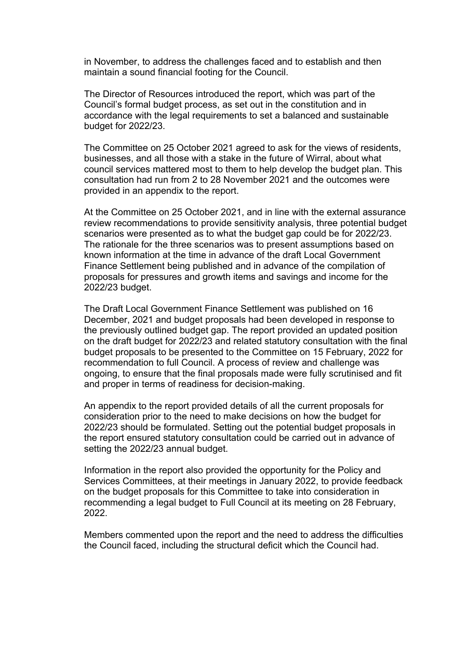in November, to address the challenges faced and to establish and then maintain a sound financial footing for the Council.

The Director of Resources introduced the report, which was part of the Council's formal budget process, as set out in the constitution and in accordance with the legal requirements to set a balanced and sustainable budget for 2022/23.

The Committee on 25 October 2021 agreed to ask for the views of residents, businesses, and all those with a stake in the future of Wirral, about what council services mattered most to them to help develop the budget plan. This consultation had run from 2 to 28 November 2021 and the outcomes were provided in an appendix to the report.

At the Committee on 25 October 2021, and in line with the external assurance review recommendations to provide sensitivity analysis, three potential budget scenarios were presented as to what the budget gap could be for 2022/23. The rationale for the three scenarios was to present assumptions based on known information at the time in advance of the draft Local Government Finance Settlement being published and in advance of the compilation of proposals for pressures and growth items and savings and income for the 2022/23 budget.

The Draft Local Government Finance Settlement was published on 16 December, 2021 and budget proposals had been developed in response to the previously outlined budget gap. The report provided an updated position on the draft budget for 2022/23 and related statutory consultation with the final budget proposals to be presented to the Committee on 15 February, 2022 for recommendation to full Council. A process of review and challenge was ongoing, to ensure that the final proposals made were fully scrutinised and fit and proper in terms of readiness for decision-making.

An appendix to the report provided details of all the current proposals for consideration prior to the need to make decisions on how the budget for 2022/23 should be formulated. Setting out the potential budget proposals in the report ensured statutory consultation could be carried out in advance of setting the 2022/23 annual budget.

Information in the report also provided the opportunity for the Policy and Services Committees, at their meetings in January 2022, to provide feedback on the budget proposals for this Committee to take into consideration in recommending a legal budget to Full Council at its meeting on 28 February, 2022.

Members commented upon the report and the need to address the difficulties the Council faced, including the structural deficit which the Council had.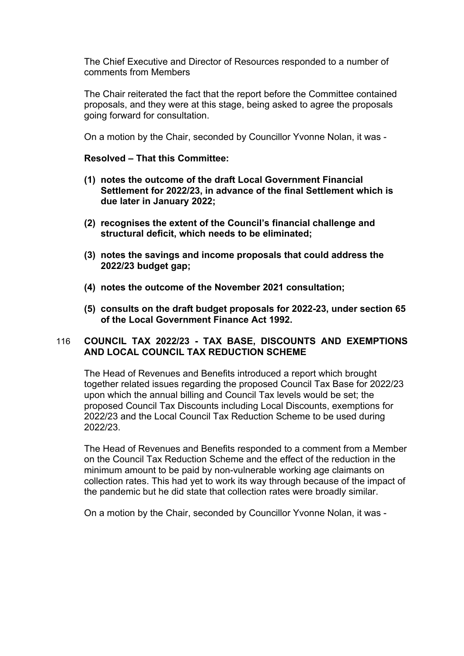The Chief Executive and Director of Resources responded to a number of comments from Members

The Chair reiterated the fact that the report before the Committee contained proposals, and they were at this stage, being asked to agree the proposals going forward for consultation.

On a motion by the Chair, seconded by Councillor Yvonne Nolan, it was -

## **Resolved – That this Committee:**

- **(1) notes the outcome of the draft Local Government Financial Settlement for 2022/23, in advance of the final Settlement which is due later in January 2022;**
- **(2) recognises the extent of the Council's financial challenge and structural deficit, which needs to be eliminated;**
- **(3) notes the savings and income proposals that could address the 2022/23 budget gap;**
- **(4) notes the outcome of the November 2021 consultation;**
- **(5) consults on the draft budget proposals for 2022-23, under section 65 of the Local Government Finance Act 1992.**

# 116 **COUNCIL TAX 2022/23 - TAX BASE, DISCOUNTS AND EXEMPTIONS AND LOCAL COUNCIL TAX REDUCTION SCHEME**

The Head of Revenues and Benefits introduced a report which brought together related issues regarding the proposed Council Tax Base for 2022/23 upon which the annual billing and Council Tax levels would be set; the proposed Council Tax Discounts including Local Discounts, exemptions for 2022/23 and the Local Council Tax Reduction Scheme to be used during 2022/23.

The Head of Revenues and Benefits responded to a comment from a Member on the Council Tax Reduction Scheme and the effect of the reduction in the minimum amount to be paid by non-vulnerable working age claimants on collection rates. This had yet to work its way through because of the impact of the pandemic but he did state that collection rates were broadly similar.

On a motion by the Chair, seconded by Councillor Yvonne Nolan, it was -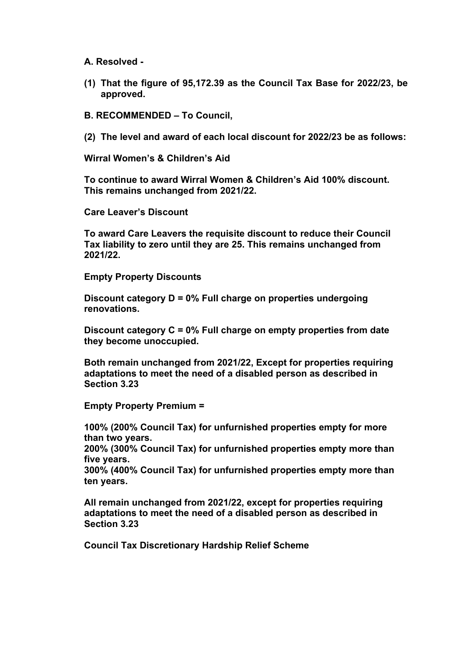**A. Resolved -**

**(1) That the figure of 95,172.39 as the Council Tax Base for 2022/23, be approved.**

**B. RECOMMENDED – To Council,**

**(2) The level and award of each local discount for 2022/23 be as follows:**

**Wirral Women's & Children's Aid**

**To continue to award Wirral Women & Children's Aid 100% discount. This remains unchanged from 2021/22.**

**Care Leaver's Discount**

**To award Care Leavers the requisite discount to reduce their Council Tax liability to zero until they are 25. This remains unchanged from 2021/22.**

**Empty Property Discounts**

**Discount category D = 0% Full charge on properties undergoing renovations.**

**Discount category C = 0% Full charge on empty properties from date they become unoccupied.**

**Both remain unchanged from 2021/22, Except for properties requiring adaptations to meet the need of a disabled person as described in Section 3.23**

**Empty Property Premium =**

**100% (200% Council Tax) for unfurnished properties empty for more than two years.**

**200% (300% Council Tax) for unfurnished properties empty more than five years.** 

**300% (400% Council Tax) for unfurnished properties empty more than ten years.**

**All remain unchanged from 2021/22, except for properties requiring adaptations to meet the need of a disabled person as described in Section 3.23**

**Council Tax Discretionary Hardship Relief Scheme**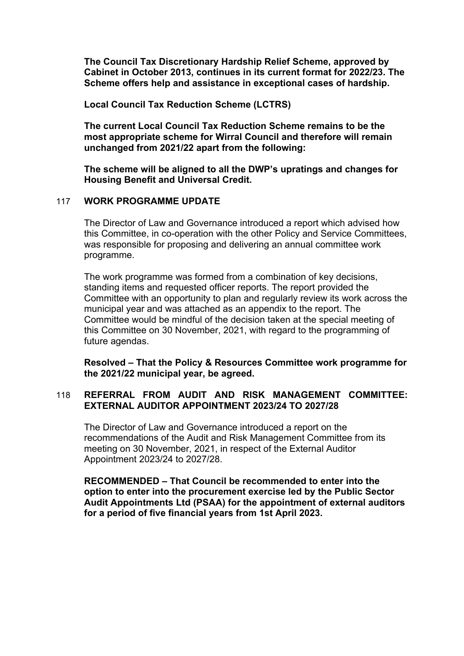**The Council Tax Discretionary Hardship Relief Scheme, approved by Cabinet in October 2013, continues in its current format for 2022/23. The Scheme offers help and assistance in exceptional cases of hardship.**

**Local Council Tax Reduction Scheme (LCTRS)**

**The current Local Council Tax Reduction Scheme remains to be the most appropriate scheme for Wirral Council and therefore will remain unchanged from 2021/22 apart from the following:**

**The scheme will be aligned to all the DWP's upratings and changes for Housing Benefit and Universal Credit.**

## 117 **WORK PROGRAMME UPDATE**

The Director of Law and Governance introduced a report which advised how this Committee, in co-operation with the other Policy and Service Committees, was responsible for proposing and delivering an annual committee work programme.

The work programme was formed from a combination of key decisions, standing items and requested officer reports. The report provided the Committee with an opportunity to plan and regularly review its work across the municipal year and was attached as an appendix to the report. The Committee would be mindful of the decision taken at the special meeting of this Committee on 30 November, 2021, with regard to the programming of future agendas.

**Resolved – That the Policy & Resources Committee work programme for the 2021/22 municipal year, be agreed.**

# 118 **REFERRAL FROM AUDIT AND RISK MANAGEMENT COMMITTEE: EXTERNAL AUDITOR APPOINTMENT 2023/24 TO 2027/28**

The Director of Law and Governance introduced a report on the recommendations of the Audit and Risk Management Committee from its meeting on 30 November, 2021, in respect of the External Auditor Appointment 2023/24 to 2027/28.

**RECOMMENDED – That Council be recommended to enter into the option to enter into the procurement exercise led by the Public Sector Audit Appointments Ltd (PSAA) for the appointment of external auditors for a period of five financial years from 1st April 2023.**